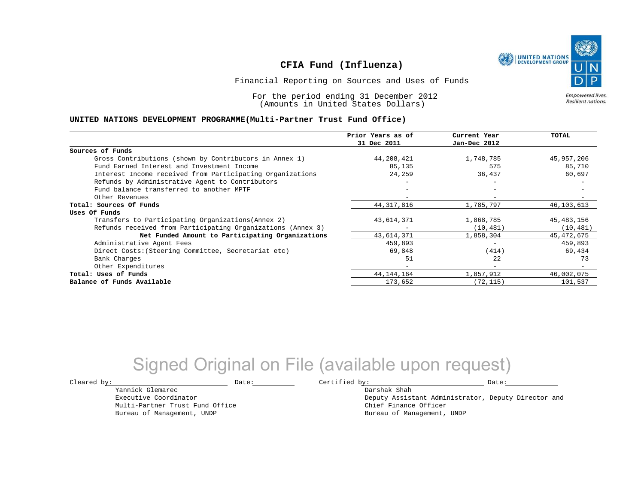

Financial Reporting on Sources and Uses of Funds

For the period ending 31 December 2012 (Amounts in United States Dollars)

Empowered lives. Resilient nations.

#### **UNITED NATIONS DEVELOPMENT PROGRAMME(Multi-Partner Trust Fund Office)**

|                                                             | Prior Years as of<br>31 Dec 2011 | Current Year<br>Jan-Dec 2012 | <b>TOTAL</b> |
|-------------------------------------------------------------|----------------------------------|------------------------------|--------------|
|                                                             |                                  |                              |              |
| Sources of Funds                                            |                                  |                              |              |
| Gross Contributions (shown by Contributors in Annex 1)      | 44,208,421                       | 1,748,785                    | 45,957,206   |
| Fund Earned Interest and Investment Income                  | 85,135                           | 575                          | 85,710       |
| Interest Income received from Participating Organizations   | 24,259                           | 36,437                       | 60,697       |
| Refunds by Administrative Agent to Contributors             |                                  |                              |              |
| Fund balance transferred to another MPTF                    |                                  |                              |              |
| Other Revenues                                              |                                  |                              |              |
| Total: Sources Of Funds                                     | 44, 317, 816                     | 1,785,797                    | 46,103,613   |
| Uses Of Funds                                               |                                  |                              |              |
| Transfers to Participating Organizations (Annex 2)          | 43,614,371                       | 1,868,785                    | 45, 483, 156 |
| Refunds received from Participating Organizations (Annex 3) |                                  | (10, 481)                    | (10, 481)    |
| Net Funded Amount to Participating Organizations            | 43,614,371                       | 1,858,304                    | 45,472,675   |
| Administrative Agent Fees                                   | 459,893                          |                              | 459,893      |
| Direct Costs: (Steering Committee, Secretariat etc)         | 69,848                           | (414)                        | 69,434       |
| Bank Charges                                                | 51                               | 22                           | 73           |
| Other Expenditures                                          |                                  | $\overline{\phantom{0}}$     |              |
| Total: Uses of Funds                                        | 44, 144, 164                     | 1,857,912                    | 46,002,075   |
| Balance of Funds Available                                  | 173,652                          | (72, 115)                    | 101,537      |

# Signed Original on File (available upon request)

Cleared by: Natural Date: Date: Certified by: Date: Date: Date: Date: Date: Date: Date: Date: Date: Date: Date: Date: Date: Date: Date: Date: Date: Date: Date: Date: Date: Date: Date: Date: Date: Date: Date: Date: Date: Da

Darshak Shah

Deputy Assistant Administrator, Deputy Director and Chief Finance Officer Bureau of Management, UNDP

Executive Coordinator Multi-Partner Trust Fund Office Bureau of Management, UNDP

Yannick Glemarec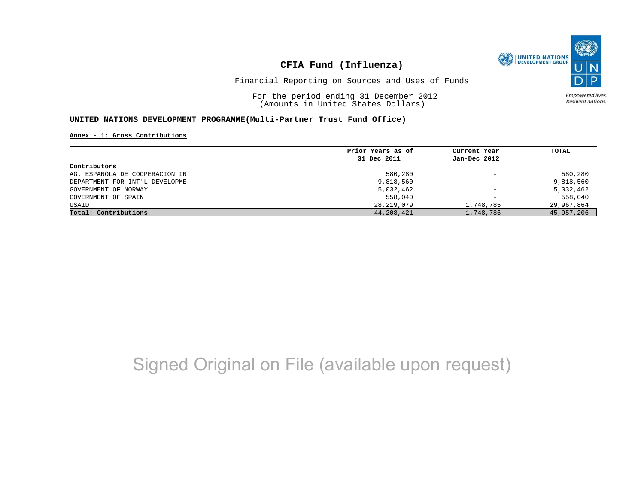

Financial Reporting on Sources and Uses of Funds

For the period ending 31 December 2012 (Amounts in United States Dollars)

Empowered lives. Resilient nations.

#### **UNITED NATIONS DEVELOPMENT PROGRAMME(Multi-Partner Trust Fund Office)**

**Annex - 1: Gross Contributions**

|                                | Prior Years as of | Current Year             | TOTAL      |
|--------------------------------|-------------------|--------------------------|------------|
|                                | 31 Dec 2011       | Jan-Dec 2012             |            |
| Contributors                   |                   |                          |            |
| AG. ESPANOLA DE COOPERACION IN | 580,280           | $\qquad \qquad -$        | 580,280    |
| DEPARTMENT FOR INT'L DEVELOPME | 9,818,560         | $\overline{\phantom{a}}$ | 9,818,560  |
| GOVERNMENT OF NORWAY           | 5,032,462         | $\qquad \qquad -$        | 5,032,462  |
| GOVERNMENT OF SPAIN            | 558,040           | $\overline{\phantom{0}}$ | 558,040    |
| USAID                          | 28,219,079        | 1,748,785                | 29,967,864 |
| Total: Contributions           | 44,208,421        | 1,748,785                | 45,957,206 |

# Signed Original on File (available upon request)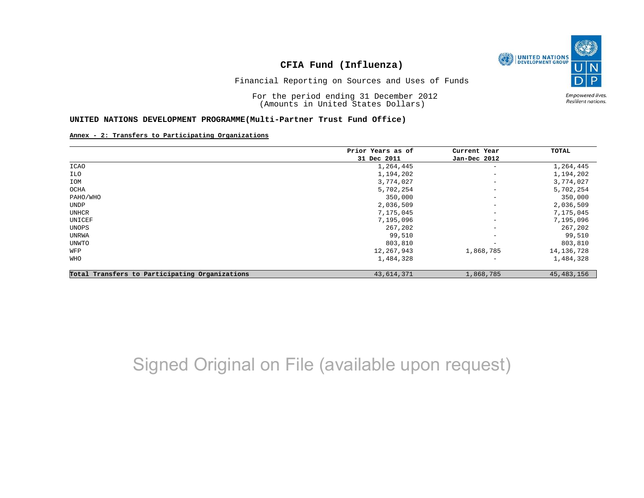

Financial Reporting on Sources and Uses of Funds

For the period ending 31 December 2012 (Amounts in United States Dollars)

Empowered lives. Resilient nations.

#### **UNITED NATIONS DEVELOPMENT PROGRAMME(Multi-Partner Trust Fund Office)**

#### **Annex - 2: Transfers to Participating Organizations**

|                                                | Prior Years as of | Current Year             | TOTAL        |
|------------------------------------------------|-------------------|--------------------------|--------------|
|                                                | 31 Dec 2011       | Jan-Dec 2012             |              |
| ICAO                                           | 1,264,445         | $\qquad \qquad -$        | 1,264,445    |
| ILO                                            | 1,194,202         | $\overline{\phantom{a}}$ | 1,194,202    |
| IOM                                            | 3,774,027         | $\qquad \qquad -$        | 3,774,027    |
| OCHA                                           | 5,702,254         | $\overline{\phantom{a}}$ | 5,702,254    |
| PAHO/WHO                                       | 350,000           | $\qquad \qquad -$        | 350,000      |
| UNDP                                           | 2,036,509         | $\qquad \qquad -$        | 2,036,509    |
| UNHCR                                          | 7,175,045         | $\overline{\phantom{a}}$ | 7,175,045    |
| UNICEF                                         | 7,195,096         | $\qquad \qquad -$        | 7,195,096    |
| UNOPS                                          | 267,202           | $\qquad \qquad -$        | 267,202      |
| UNRWA                                          | 99,510            | $\overline{\phantom{a}}$ | 99,510       |
| UNWTO                                          | 803,810           |                          | 803,810      |
| WFP                                            | 12,267,943        | 1,868,785                | 14, 136, 728 |
| WHO                                            | 1,484,328         | $\overline{\phantom{0}}$ | 1,484,328    |
| Total Transfers to Participating Organizations | 43,614,371        | 1,868,785                | 45, 483, 156 |

# Signed Original on File (available upon request)